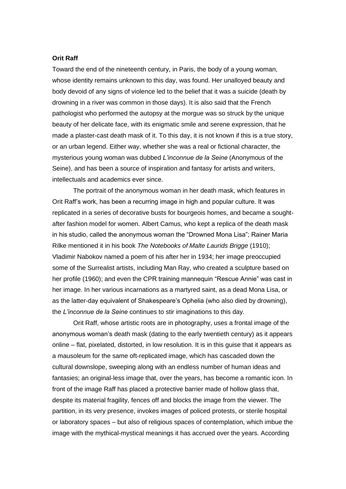## **Orit Raff**

Toward the end of the nineteenth century, in Paris, the body of a young woman, whose identity remains unknown to this day, was found. Her unalloyed beauty and body devoid of any signs of violence led to the belief that it was a suicide (death by drowning in a river was common in those days). It is also said that the French pathologist who performed the autopsy at the morgue was so struck by the unique beauty of her delicate face, with its enigmatic smile and serene expression, that he made a plaster-cast death mask of it. To this day, it is not known if this is a true story, or an urban legend. Either way, whether she was a real or fictional character, the mysterious young woman was dubbed *L'inconnue de la Seine* (Anonymous of the Seine), and has been a source of inspiration and fantasy for artists and writers, intellectuals and academics ever since.

The portrait of the anonymous woman in her death mask, which features in Orit Raff's work, has been a recurring image in high and popular culture. It was replicated in a series of decorative busts for bourgeois homes, and became a soughtafter fashion model for women. Albert Camus, who kept a replica of the death mask in his studio, called the anonymous woman the "Drowned Mona Lisa"; Rainer Maria Rilke mentioned it in his book *The Notebooks of Malte Laurids Brigge* (1910); Vladimir Nabokov named a poem of his after her in 1934; her image preoccupied some of the Surrealist artists, including Man Ray, who created a sculpture based on her profile (1960); and even the CPR training mannequin "Rescue Annie" was cast in her image. In her various incarnations as a martyred saint, as a dead Mona Lisa, or as the latter-day equivalent of Shakespeare's Ophelia (who also died by drowning), the *L'inconnue de la Seine* continues to stir imaginations to this day.

Orit Raff, whose artistic roots are in photography, uses a frontal image of the anonymous woman's death mask (dating to the early twentieth century) as it appears online – flat, pixelated, distorted, in low resolution. It is in this guise that it appears as a mausoleum for the same oft-replicated image, which has cascaded down the cultural downslope, sweeping along with an endless number of human ideas and fantasies; an original-less image that, over the years, has become a romantic icon. In front of the image Raff has placed a protective barrier made of hollow glass that , despite its material fragility, fences off and blocks the image from the viewer. The partition, in its very presence, invokes images of policed protests, or sterile hospital or laboratory spaces – but also of religious spaces of contemplation, which imbue the image with the mythical-mystical meanings it has accrued over the years. According